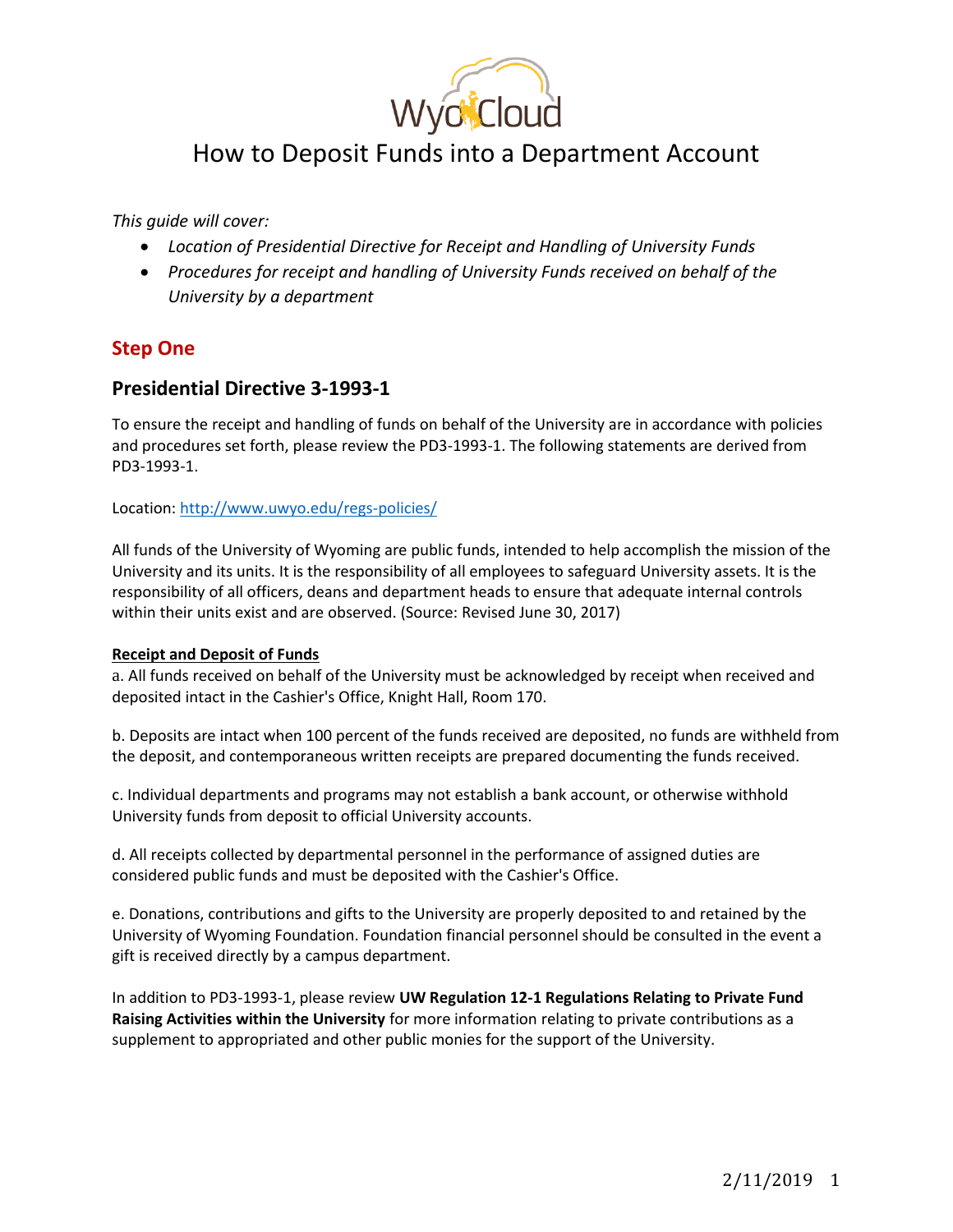

# How to Deposit Funds into a Department Account

*This guide will cover:*

- *Location of Presidential Directive for Receipt and Handling of University Funds*
- *Procedures for receipt and handling of University Funds received on behalf of the University by a department*

## **Step One**

#### **Presidential Directive 3-1993-1**

To ensure the receipt and handling of funds on behalf of the University are in accordance with policies and procedures set forth, please review the PD3-1993-1. The following statements are derived from PD3-1993-1.

Location[: http://www.uwyo.edu/regs-policies/](http://www.uwyo.edu/regs-policies/)

All funds of the University of Wyoming are public funds, intended to help accomplish the mission of the University and its units. It is the responsibility of all employees to safeguard University assets. It is the responsibility of all officers, deans and department heads to ensure that adequate internal controls within their units exist and are observed. (Source: Revised June 30, 2017)

#### **Receipt and Deposit of Funds**

a. All funds received on behalf of the University must be acknowledged by receipt when received and deposited intact in the Cashier's Office, Knight Hall, Room 170.

b. Deposits are intact when 100 percent of the funds received are deposited, no funds are withheld from the deposit, and contemporaneous written receipts are prepared documenting the funds received.

c. Individual departments and programs may not establish a bank account, or otherwise withhold University funds from deposit to official University accounts.

d. All receipts collected by departmental personnel in the performance of assigned duties are considered public funds and must be deposited with the Cashier's Office.

e. Donations, contributions and gifts to the University are properly deposited to and retained by the University of Wyoming Foundation. Foundation financial personnel should be consulted in the event a gift is received directly by a campus department.

In addition to PD3-1993-1, please review **UW Regulation 12-1 Regulations Relating to Private Fund Raising Activities within the University** for more information relating to private contributions as a supplement to appropriated and other public monies for the support of the University.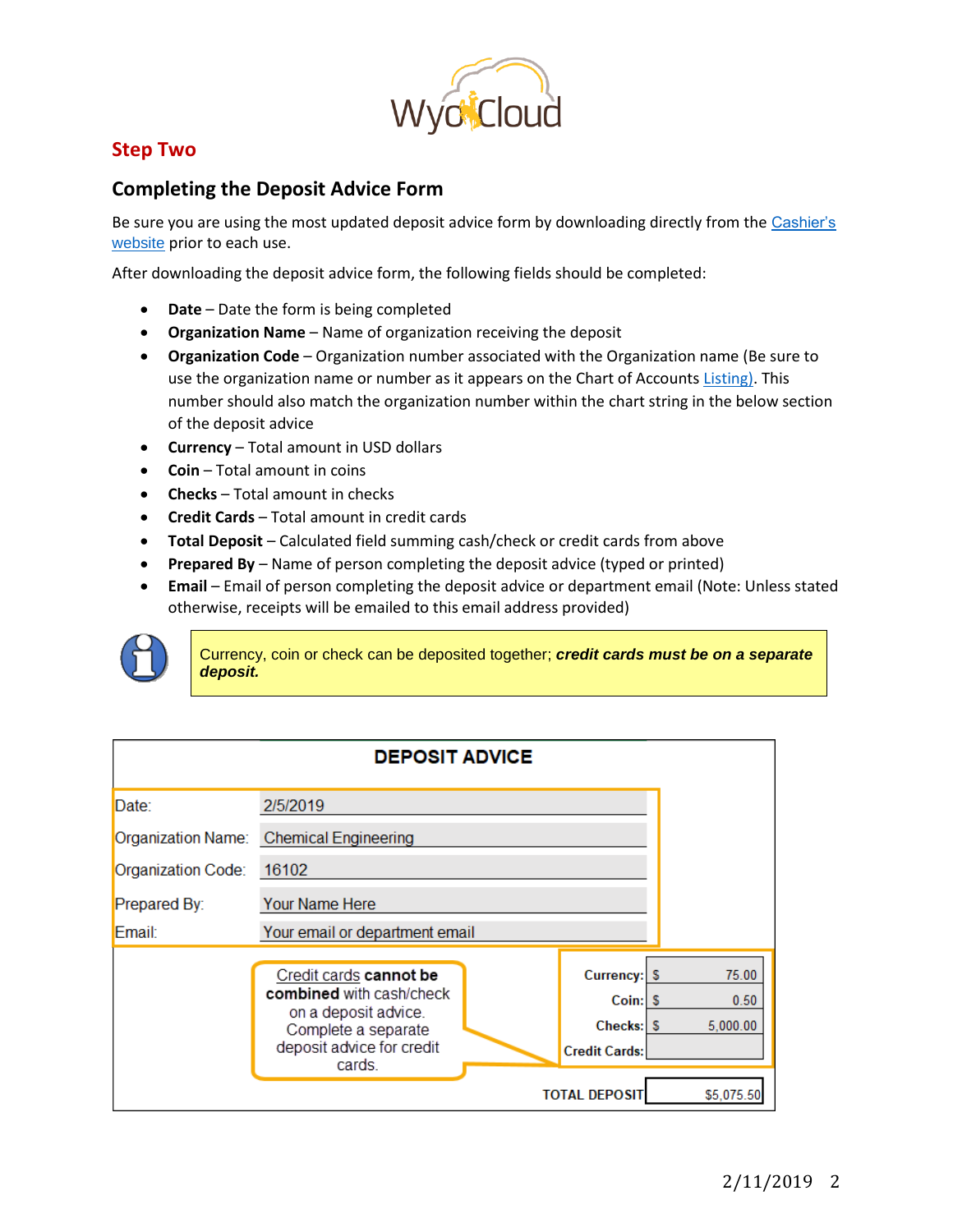

# **Step Two**

### **Completing the Deposit Advice Form**

Be sure you are using the most updated deposit advice form by downloading directly from the Cashier's [website](http://www.uwyo.edu/fsbo/cashiers-office/) prior to each use.

After downloading the deposit advice form, the following fields should be completed:

- **•** Date Date the form is being completed
- **Organization Name** Name of organization receiving the deposit
- **Organization Code**  Organization number associated with the Organization name (Be sure to use the organization name or number as it appears on the Chart of Accounts [Listing\).](http://www.uwyo.edu/wyocloud/_files/docs/coa/organization_11_30_2018.pdf) This number should also match the organization number within the chart string in the below section of the deposit advice
- **Currency** Total amount in USD dollars
- **Coin** Total amount in coins
- **Checks** Total amount in checks
- **Credit Cards** Total amount in credit cards
- **Total Deposit** Calculated field summing cash/check or credit cards from above
- **Prepared By** Name of person completing the deposit advice (typed or printed)
- **Email** Email of person completing the deposit advice or department email (Note: Unless stated otherwise, receipts will be emailed to this email address provided)



Currency, coin or check can be deposited together; *credit cards must be on a separate deposit.* 

| <b>DEPOSIT ADVICE</b> |                                                                                                                                |  |                                                |                           |  |  |  |
|-----------------------|--------------------------------------------------------------------------------------------------------------------------------|--|------------------------------------------------|---------------------------|--|--|--|
| Date:                 | 2/5/2019                                                                                                                       |  |                                                |                           |  |  |  |
|                       | Organization Name: Chemical Engineering                                                                                        |  |                                                |                           |  |  |  |
| Organization Code:    | 16102                                                                                                                          |  |                                                |                           |  |  |  |
| Prepared By:          | <b>Your Name Here</b>                                                                                                          |  |                                                |                           |  |  |  |
| Email:                | Your email or department email                                                                                                 |  |                                                |                           |  |  |  |
|                       | Credit cards cannot be<br>combined with cash/check<br>on a deposit advice.<br>Complete a separate<br>deposit advice for credit |  | Currency: \$<br>Coin: $\sqrt{5}$<br>Checks: \$ | 75.00<br>0.50<br>5.000.00 |  |  |  |
|                       | cards.                                                                                                                         |  | <b>Credit Cards:</b><br><b>TOTAL DEPOSIT</b>   | \$5,075.50                |  |  |  |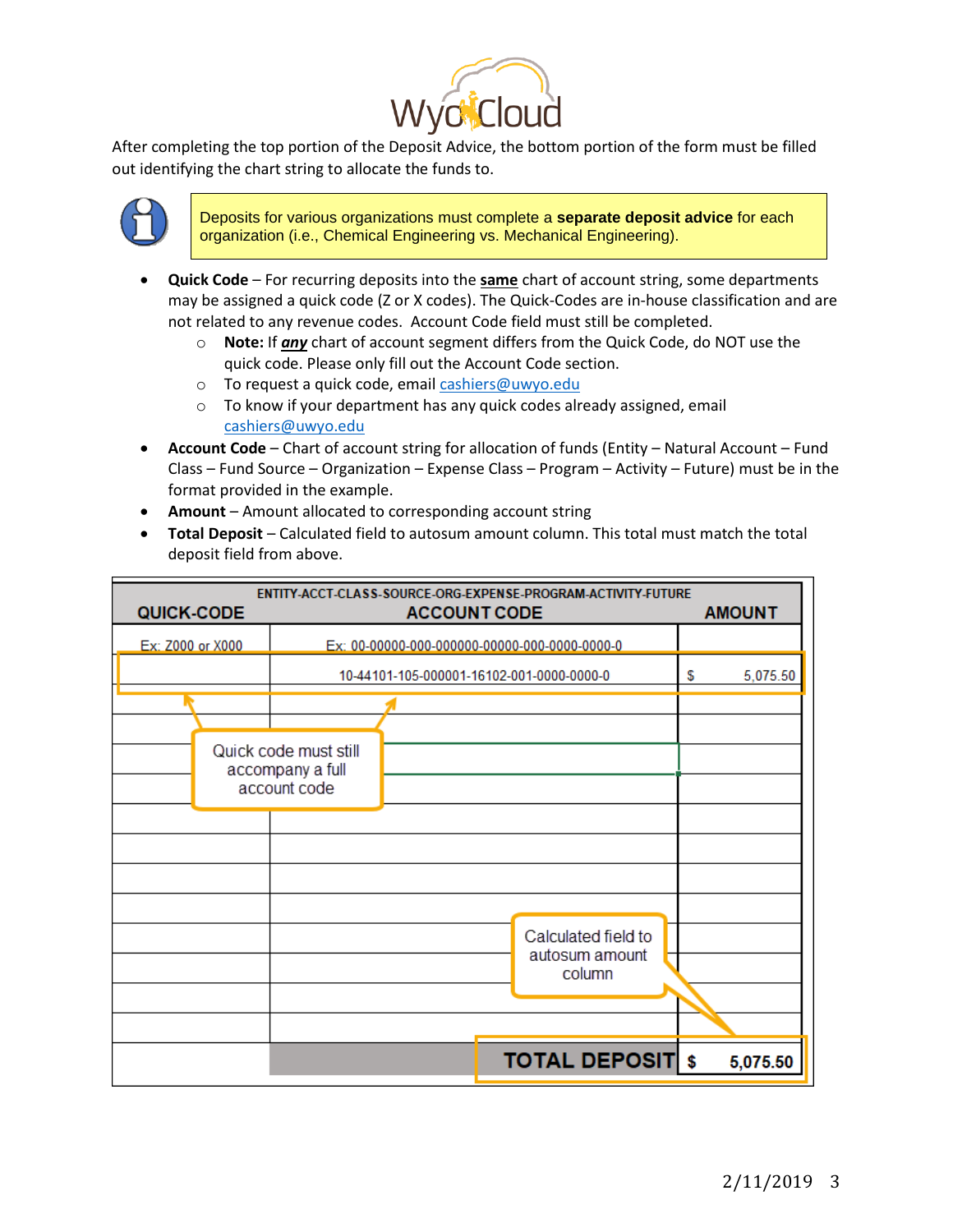

After completing the top portion of the Deposit Advice, the bottom portion of the form must be filled out identifying the chart string to allocate the funds to.



Deposits for various organizations must complete a **separate deposit advice** for each organization (i.e., Chemical Engineering vs. Mechanical Engineering).

- **Quick Code** For recurring deposits into the **same** chart of account string, some departments may be assigned a quick code (Z or X codes). The Quick-Codes are in-house classification and are not related to any revenue codes. Account Code field must still be completed.
	- o **Note:** If *any* chart of account segment differs from the Quick Code, do NOT use the quick code. Please only fill out the Account Code section.
	- o To request a quick code, emai[l cashiers@uwyo.edu](mailto:cashiers@uwyo.edu)
	- o To know if your department has any quick codes already assigned, email [cashiers@uwyo.edu](mailto:cashiers@uwyo.edu)
- **Account Code** Chart of account string for allocation of funds (Entity Natural Account Fund Class – Fund Source – Organization – Expense Class – Program – Activity – Future) must be in the format provided in the example.
- **Amount**  Amount allocated to corresponding account string
- **Total Deposit** Calculated field to autosum amount column. This total must match the total deposit field from above.

| <b>QUICK-CODE</b> |  | ENTITY-ACCT-CLASS-SOURCE-ORG-EXPENSE-PROGRAM-ACTIVITY-FUTURE<br><b>ACCOUNT CODE</b> | <b>AMOUNT</b>                                   |          |
|-------------------|--|-------------------------------------------------------------------------------------|-------------------------------------------------|----------|
| Ex: Z000 or X000  |  |                                                                                     |                                                 |          |
|                   |  | 10-44101-105-000001-16102-001-0000-0000-0                                           | \$<br>5,075.50                                  |          |
|                   |  |                                                                                     |                                                 |          |
|                   |  | Quick code must still<br>accompany a full<br>account code                           |                                                 |          |
|                   |  |                                                                                     |                                                 |          |
|                   |  |                                                                                     |                                                 |          |
|                   |  |                                                                                     | Calculated field to<br>autosum amount<br>column |          |
|                   |  |                                                                                     |                                                 |          |
|                   |  |                                                                                     | <b>TOTAL DEPOSIT \$</b>                         | 5,075.50 |